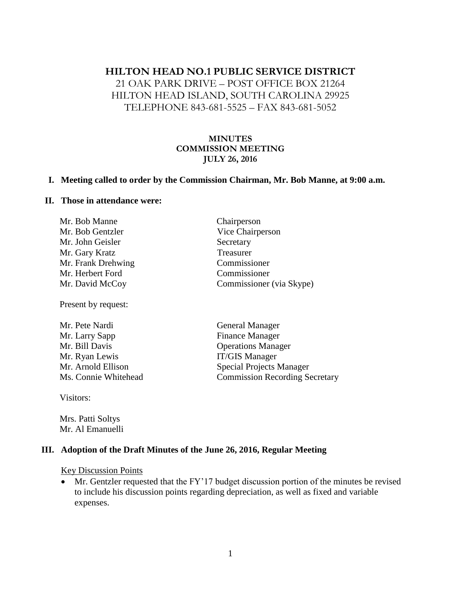## **HILTON HEAD NO.1 PUBLIC SERVICE DISTRICT**

## 21 OAK PARK DRIVE – POST OFFICE BOX 21264 HILTON HEAD ISLAND, SOUTH CAROLINA 29925 TELEPHONE 843-681-5525 – FAX 843-681-5052

#### **MINUTES COMMISSION MEETING JULY 26, 2016**

#### **I. Meeting called to order by the Commission Chairman, Mr. Bob Manne, at 9:00 a.m.**

#### **II. Those in attendance were:**

| Mr. Bob Manne      | Chairperson              |
|--------------------|--------------------------|
| Mr. Bob Gentzler   | Vice Chairperson         |
| Mr. John Geisler   | Secretary                |
| Mr. Gary Kratz     | Treasurer                |
| Mr. Frank Drehwing | Commissioner             |
| Mr. Herbert Ford   | Commissioner             |
| Mr. David McCoy    | Commissioner (via Skype) |
|                    |                          |

Present by request:

| Mr. Pete Nardi       | <b>General Manager</b>                |
|----------------------|---------------------------------------|
| Mr. Larry Sapp       | <b>Finance Manager</b>                |
| Mr. Bill Davis       | <b>Operations Manager</b>             |
| Mr. Ryan Lewis       | <b>IT/GIS Manager</b>                 |
| Mr. Arnold Ellison   | <b>Special Projects Manager</b>       |
| Ms. Connie Whitehead | <b>Commission Recording Secretary</b> |
|                      |                                       |

Visitors:

Mrs. Patti Soltys Mr. Al Emanuelli

#### **III. Adoption of the Draft Minutes of the June 26, 2016, Regular Meeting**

Key Discussion Points

• Mr. Gentzler requested that the FY'17 budget discussion portion of the minutes be revised to include his discussion points regarding depreciation, as well as fixed and variable expenses.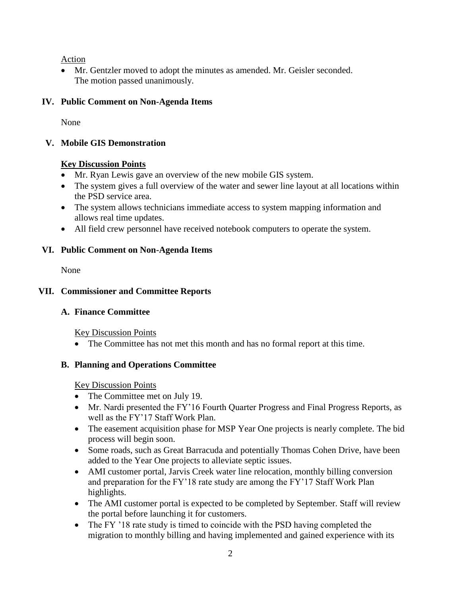Action

 Mr. Gentzler moved to adopt the minutes as amended. Mr. Geisler seconded. The motion passed unanimously.

# **IV. Public Comment on Non-Agenda Items**

None

## **V. Mobile GIS Demonstration**

## **Key Discussion Points**

- Mr. Ryan Lewis gave an overview of the new mobile GIS system.
- The system gives a full overview of the water and sewer line layout at all locations within the PSD service area.
- The system allows technicians immediate access to system mapping information and allows real time updates.
- All field crew personnel have received notebook computers to operate the system.

# **VI. Public Comment on Non-Agenda Items**

None

# **VII. Commissioner and Committee Reports**

# **A. Finance Committee**

Key Discussion Points

• The Committee has not met this month and has no formal report at this time.

# **B. Planning and Operations Committee**

Key Discussion Points

- The Committee met on July 19.
- Mr. Nardi presented the FY'16 Fourth Quarter Progress and Final Progress Reports, as well as the FY'17 Staff Work Plan.
- The easement acquisition phase for MSP Year One projects is nearly complete. The bid process will begin soon.
- Some roads, such as Great Barracuda and potentially Thomas Cohen Drive, have been added to the Year One projects to alleviate septic issues.
- AMI customer portal, Jarvis Creek water line relocation, monthly billing conversion and preparation for the FY'18 rate study are among the FY'17 Staff Work Plan highlights.
- The AMI customer portal is expected to be completed by September. Staff will review the portal before launching it for customers.
- The FY '18 rate study is timed to coincide with the PSD having completed the migration to monthly billing and having implemented and gained experience with its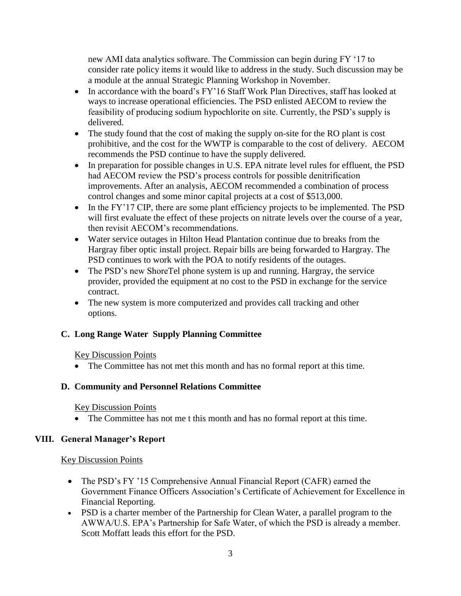new AMI data analytics software. The Commission can begin during FY '17 to consider rate policy items it would like to address in the study. Such discussion may be a module at the annual Strategic Planning Workshop in November.

- In accordance with the board's FY'16 Staff Work Plan Directives, staff has looked at ways to increase operational efficiencies. The PSD enlisted AECOM to review the feasibility of producing sodium hypochlorite on site. Currently, the PSD's supply is delivered.
- The study found that the cost of making the supply on-site for the RO plant is cost prohibitive, and the cost for the WWTP is comparable to the cost of delivery. AECOM recommends the PSD continue to have the supply delivered.
- In preparation for possible changes in U.S. EPA nitrate level rules for effluent, the PSD had AECOM review the PSD's process controls for possible denitrification improvements. After an analysis, AECOM recommended a combination of process control changes and some minor capital projects at a cost of \$513,000.
- In the FY'17 CIP, there are some plant efficiency projects to be implemented. The PSD will first evaluate the effect of these projects on nitrate levels over the course of a year, then revisit AECOM's recommendations.
- Water service outages in Hilton Head Plantation continue due to breaks from the Hargray fiber optic install project. Repair bills are being forwarded to Hargray. The PSD continues to work with the POA to notify residents of the outages.
- The PSD's new ShoreTel phone system is up and running. Hargray, the service provider, provided the equipment at no cost to the PSD in exchange for the service contract.
- The new system is more computerized and provides call tracking and other options.

## **C. Long Range Water Supply Planning Committee**

## Key Discussion Points

• The Committee has not met this month and has no formal report at this time.

## **D. Community and Personnel Relations Committee**

## Key Discussion Points

• The Committee has not me t this month and has no formal report at this time.

## **VIII. General Manager's Report**

#### Key Discussion Points

- The PSD's FY '15 Comprehensive Annual Financial Report (CAFR) earned the Government Finance Officers Association's Certificate of Achievement for Excellence in Financial Reporting.
- PSD is a charter member of the Partnership for Clean Water, a parallel program to the AWWA/U.S. EPA's Partnership for Safe Water, of which the PSD is already a member. Scott Moffatt leads this effort for the PSD.